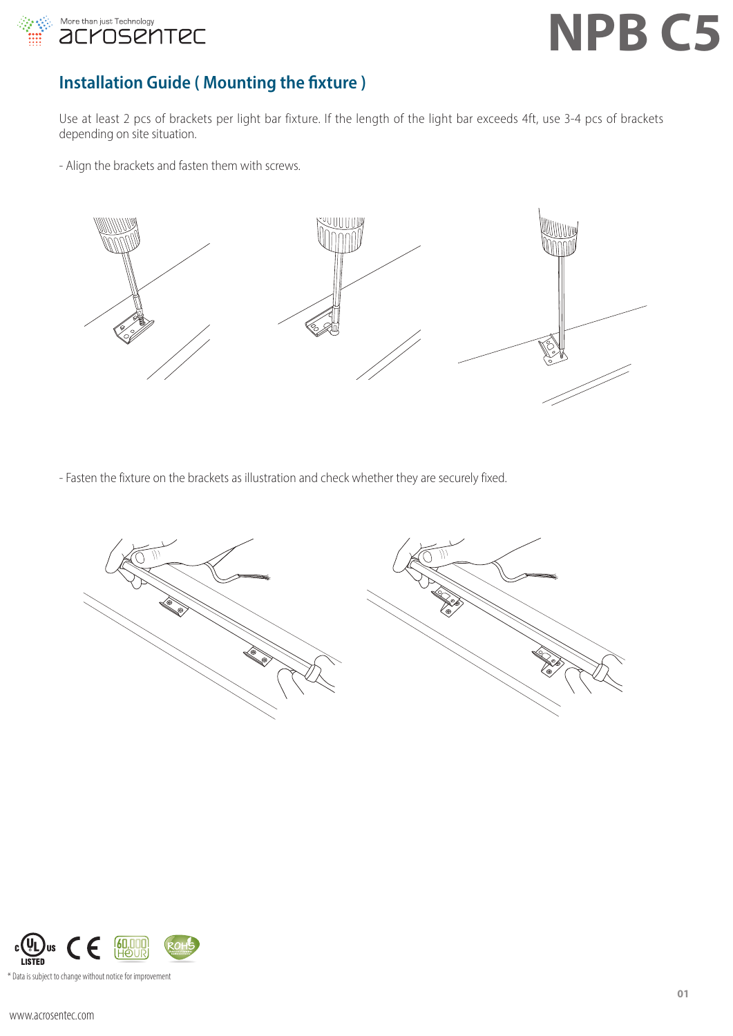

### **Installation Guide ( Mounting the fixture )**

Use at least 2 pcs of brackets per light bar fixture. If the length of the light bar exceeds 4ft, use 3-4 pcs of brackets depending on site situation.

- Align the brackets and fasten them with screws.



- Fasten the fixture on the brackets as illustration and check whether they are securely fixed.



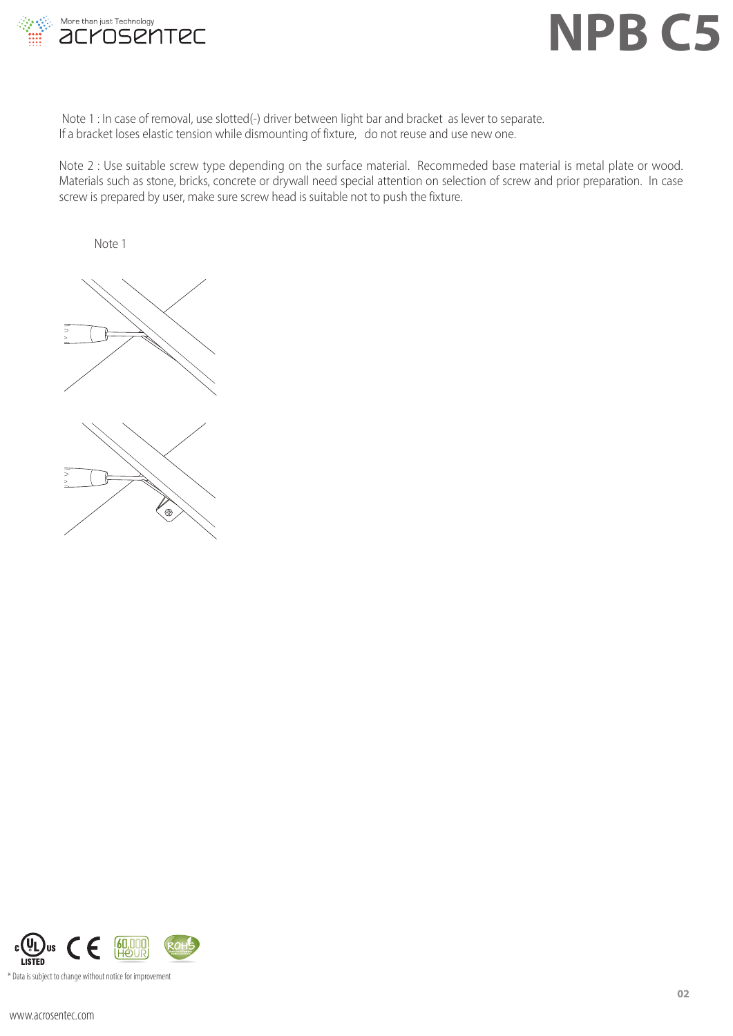

Note 1 : In case of removal, use slotted(-) driver between light bar and bracket as lever to separate. If a bracket loses elastic tension while dismounting of fixture, do not reuse and use new one.

Note 2 : Use suitable screw type depending on the surface material. Recommeded base material is metal plate or wood. Materials such as stone, bricks, concrete or drywall need special attention on selection of screw and prior preparation. In case screw is prepared by user, make sure screw head is suitable not to push the fixture.

Note 1



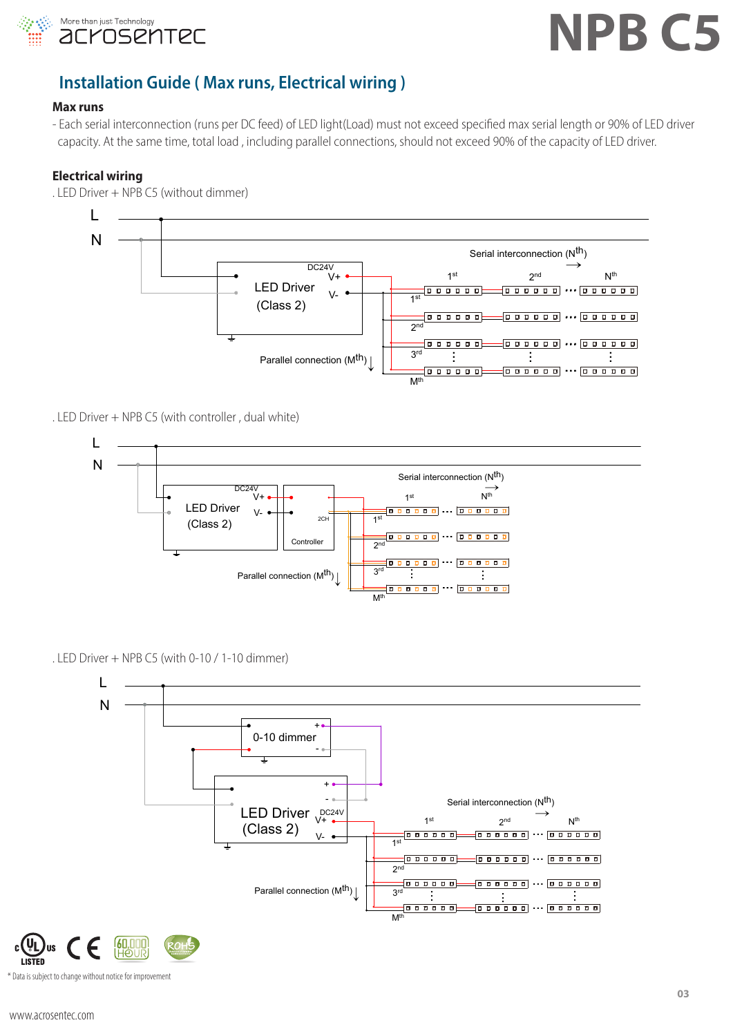

#### **Installation Guide ( Max runs, Electrical wiring )** ctrica Serial interconnection (Nth) Master Serial interconnection (Nth)

#### **Max runs**

- Each serial interconnection (runs per DC feed) of LED light(Load) must not exceed specified max serial length or 90% of LED driver Lach scharmed meter incredibility that set the same time, total load , including parallel connections, should not exceed 90% of the capacity of LED driver. ... ... V+ LED Driver V- ... ... n (runs per DC feed) of LED light(Load) r .<br>Truns per DC feed) of LED light(Load) must not exceed specified ... ...

### **Electrical wiring**



. LED Driver + NPB C5 (without dimmer) Parallel connection (Mth)

. LED Driver + NPB C5 (with controller , dual white)



. LED Driver + NPB C5 (with 0-10 / 1-10 dimmer)

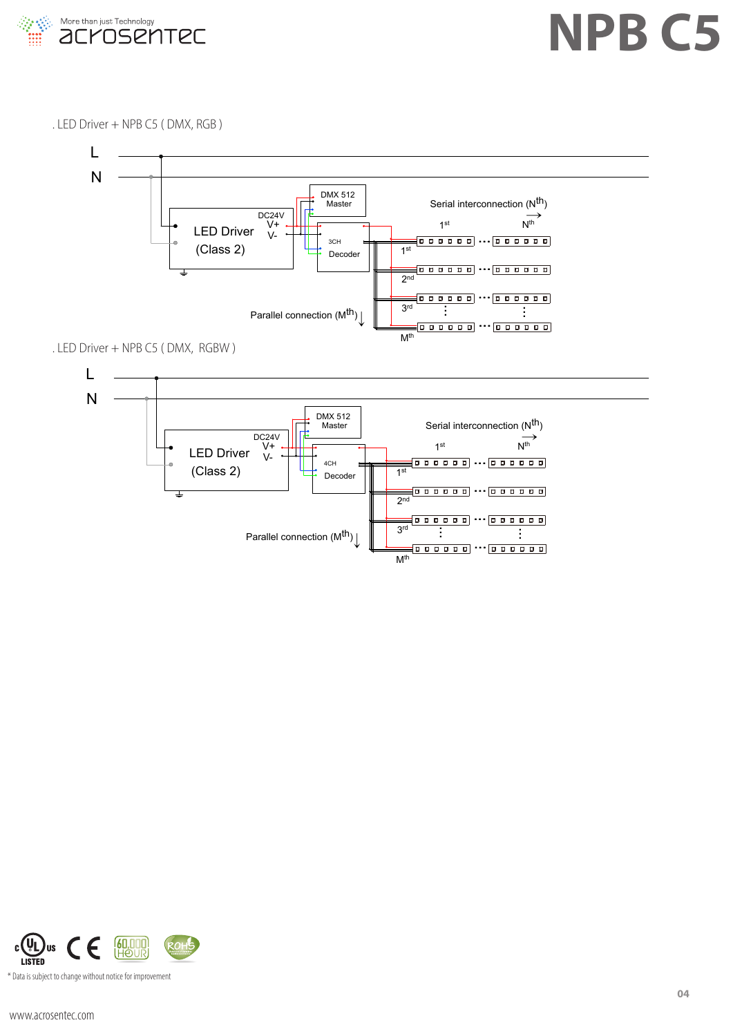

. LED Driver + NPB C5 ( DMX, RGB )



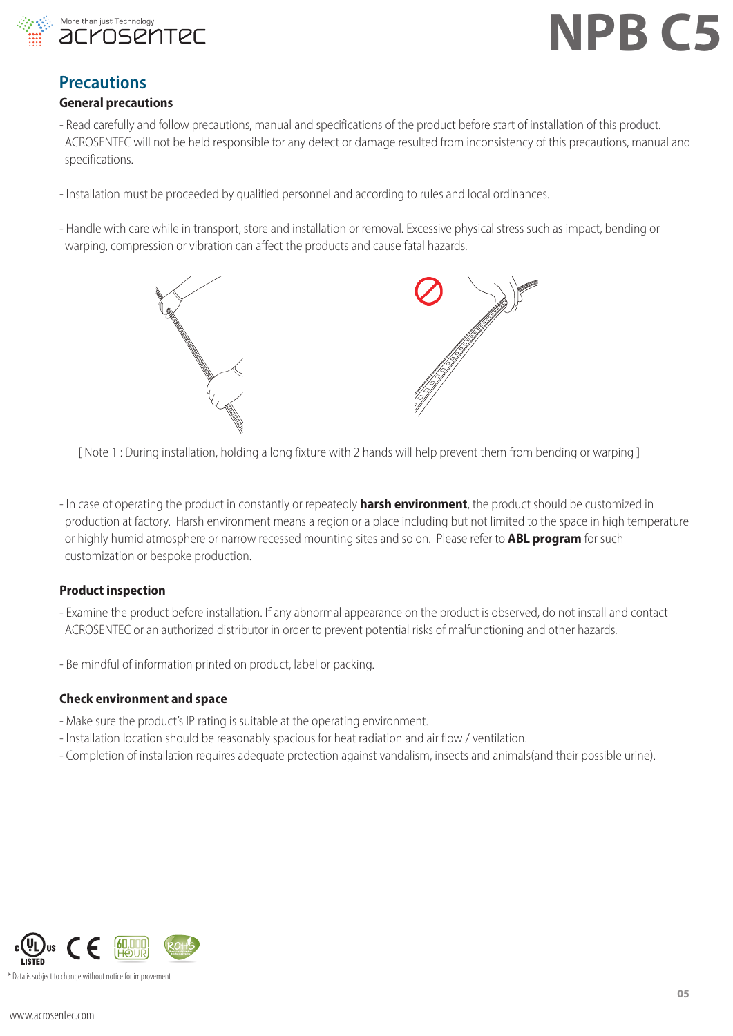

### **Precautions**

### **General precautions**

- Read carefully and follow precautions, manual and specifications of the product before start of installation of this product. ACROSENTEC will not be held responsible for any defect or damage resulted from inconsistency of this precautions, manual and specifications.
- Installation must be proceeded by qualified personnel and according to rules and local ordinances.
- Handle with care while in transport, store and installation or removal. Excessive physical stress such as impact, bending or warping, compression or vibration can affect the products and cause fatal hazards.



[ Note 1 : During installation, holding a long fixture with 2 hands will help prevent them from bending or warping ]

- In case of operating the product in constantly or repeatedly **harsh environment**, the product should be customized in production at factory. Harsh environment means a region or a place including but not limited to the space in high temperature or highly humid atmosphere or narrow recessed mounting sites and so on. Please refer to **ABL program** for such customization or bespoke production.

#### **Product inspection**

- Examine the product before installation. If any abnormal appearance on the product is observed, do not install and contact ACROSENTEC or an authorized distributor in order to prevent potential risks of malfunctioning and other hazards.
- Be mindful of information printed on product, label or packing.

#### **Check environment and space**

- Make sure the product's IP rating is suitable at the operating environment.
- Installation location should be reasonably spacious for heat radiation and air flow / ventilation.
- Completion of installation requires adequate protection against vandalism, insects and animals(and their possible urine).

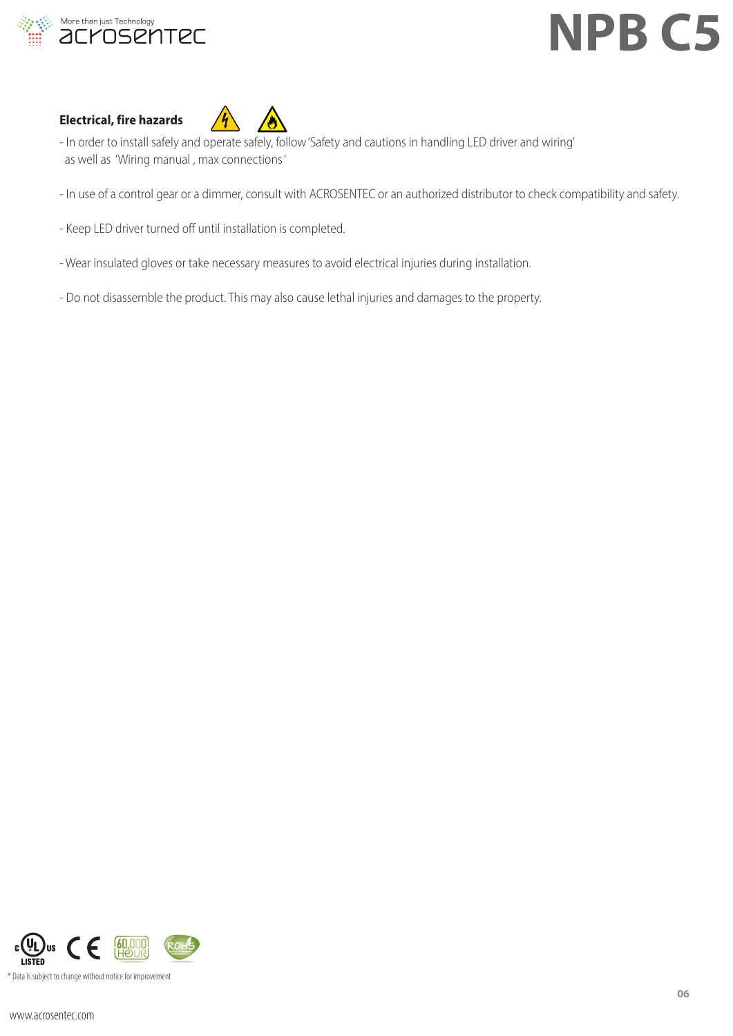

### **Electrical, fire hazards**



- In order to install safely and operate safely, follow 'Safety and cautions in handling LED driver and wiring' as well as 'Wiring manual , max connections '
- In use of a control gear or a dimmer, consult with ACROSENTEC or an authorized distributor to check compatibility and safety.
- Keep LED driver turned off until installation is completed.
- Wear insulated gloves or take necessary measures to avoid electrical injuries during installation.
- Do not disassemble the product. This may also cause lethal injuries and damages to the property.

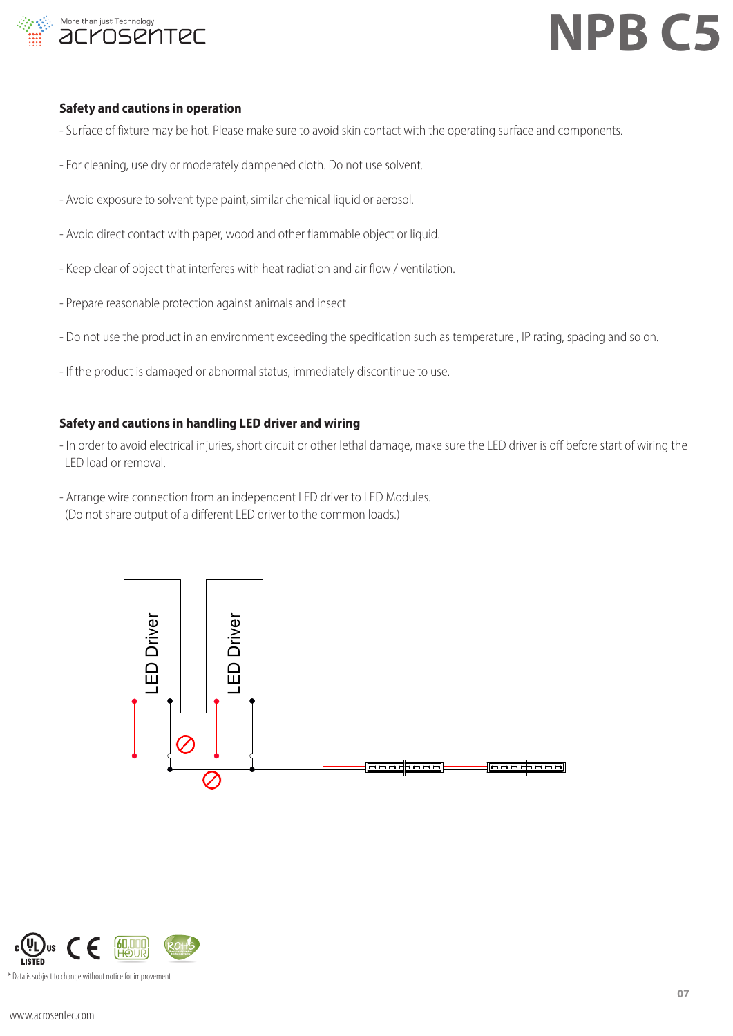

#### **Safety and cautions in operation**

- Surface of fixture may be hot. Please make sure to avoid skin contact with the operating surface and components.
- For cleaning, use dry or moderately dampened cloth. Do not use solvent.
- Avoid exposure to solvent type paint, similar chemical liquid or aerosol.
- Avoid direct contact with paper, wood and other flammable object or liquid.
- Keep clear of object that interferes with heat radiation and air flow / ventilation.
- Prepare reasonable protection against animals and insect
- Do not use the product in an environment exceeding the specification such as temperature , IP rating, spacing and so on.
- If the product is damaged or abnormal status, immediately discontinue to use.

#### **Safety and cautions in handling LED driver and wiring**

- In order to avoid electrical injuries, short circuit or other lethal damage, make sure the LED driver is off before start of wiring the LED load or removal.
- Arrange wire connection from an independent LED driver to LED Modules. (Do not share output of a different LED driver to the common loads.)